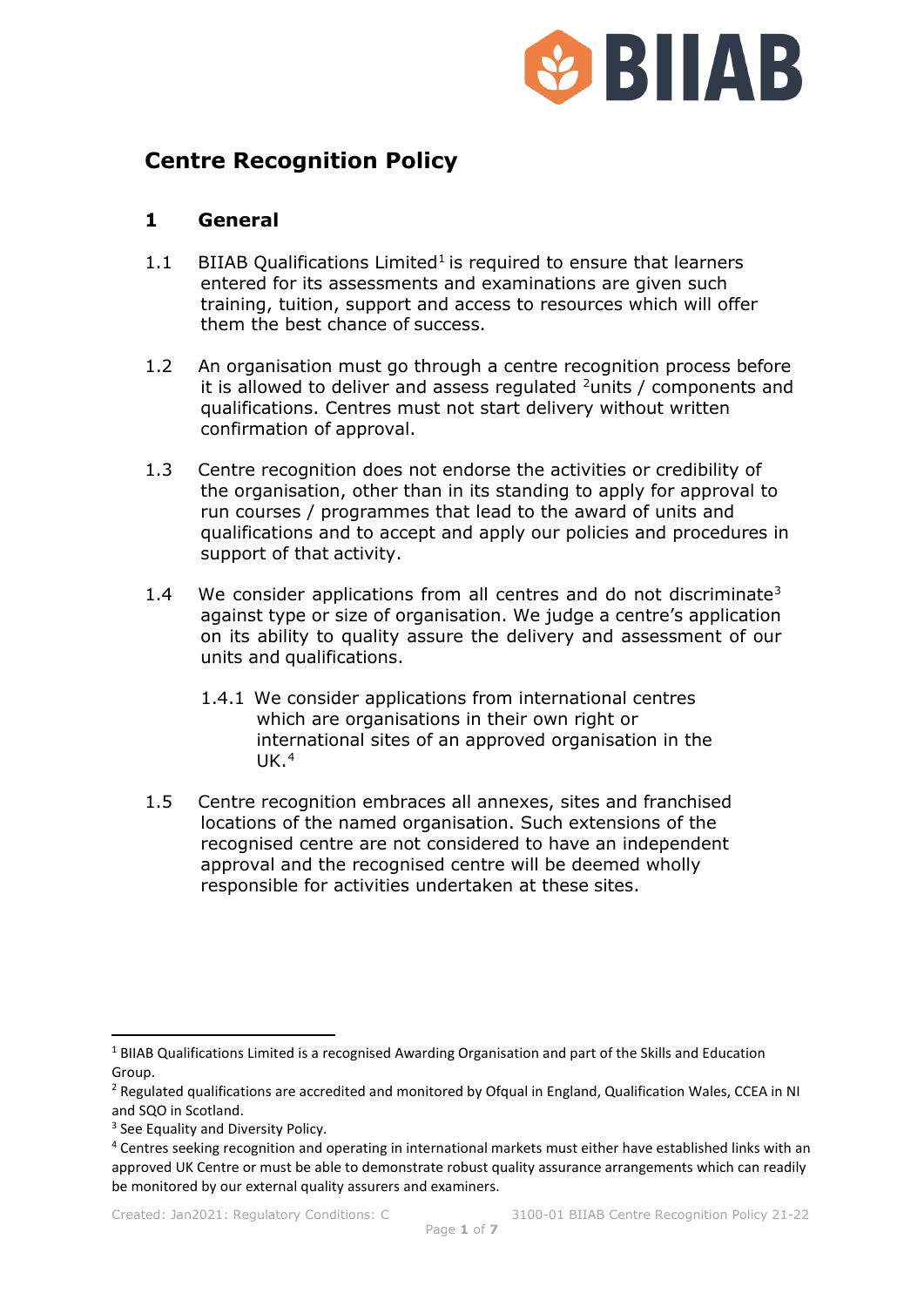

# **Centre Recognition Policy**

## **1 General**

- [1](#page-0-0).1 BIIAB Qualifications  $Limited<sup>1</sup>$  is required to ensure that learners entered for its assessments and examinations are given such training, tuition, support and access to resources which will offer them the best chance of success.
- 1.2 An organisation must go through a centre recognition process before it is allowed to deliver and assess regulated  $2$ units / components and qualifications. Centres must not start delivery without written confirmation of approval.
- 1.3 Centre recognition does not endorse the activities or credibility of the organisation, other than in its standing to apply for approval to run courses / programmes that lead to the award of units and qualifications and to accept and apply our policies and procedures in support of that activity.
- 1.4 We consider applications from all centres and do not discriminate<sup>[3](#page-0-2)</sup> against type or size of organisation. We judge a centre's application on its ability to quality assure the delivery and assessment of our units and qualifications.
	- 1.4.1 We consider applications from international centres which are organisations in their own right or international sites of an approved organisation in the  $UK<sup>4</sup>$  $UK<sup>4</sup>$  $UK<sup>4</sup>$
- 1.5 Centre recognition embraces all annexes, sites and franchised locations of the named organisation. Such extensions of the recognised centre are not considered to have an independent approval and the recognised centre will be deemed wholly responsible for activities undertaken at these sites.

<span id="page-0-0"></span><sup>1</sup> BIIAB Qualifications Limited is a recognised Awarding Organisation and part of the Skills and Education Group.

<span id="page-0-1"></span><sup>&</sup>lt;sup>2</sup> Regulated qualifications are accredited and monitored by Ofqual in England, Qualification Wales, CCEA in NI and SQO in Scotland.

<span id="page-0-2"></span><sup>&</sup>lt;sup>3</sup> See Equality and Diversity Policy.

<span id="page-0-3"></span><sup>4</sup> Centres seeking recognition and operating in international markets must either have established links with an approved UK Centre or must be able to demonstrate robust quality assurance arrangements which can readily be monitored by our external quality assurers and examiners.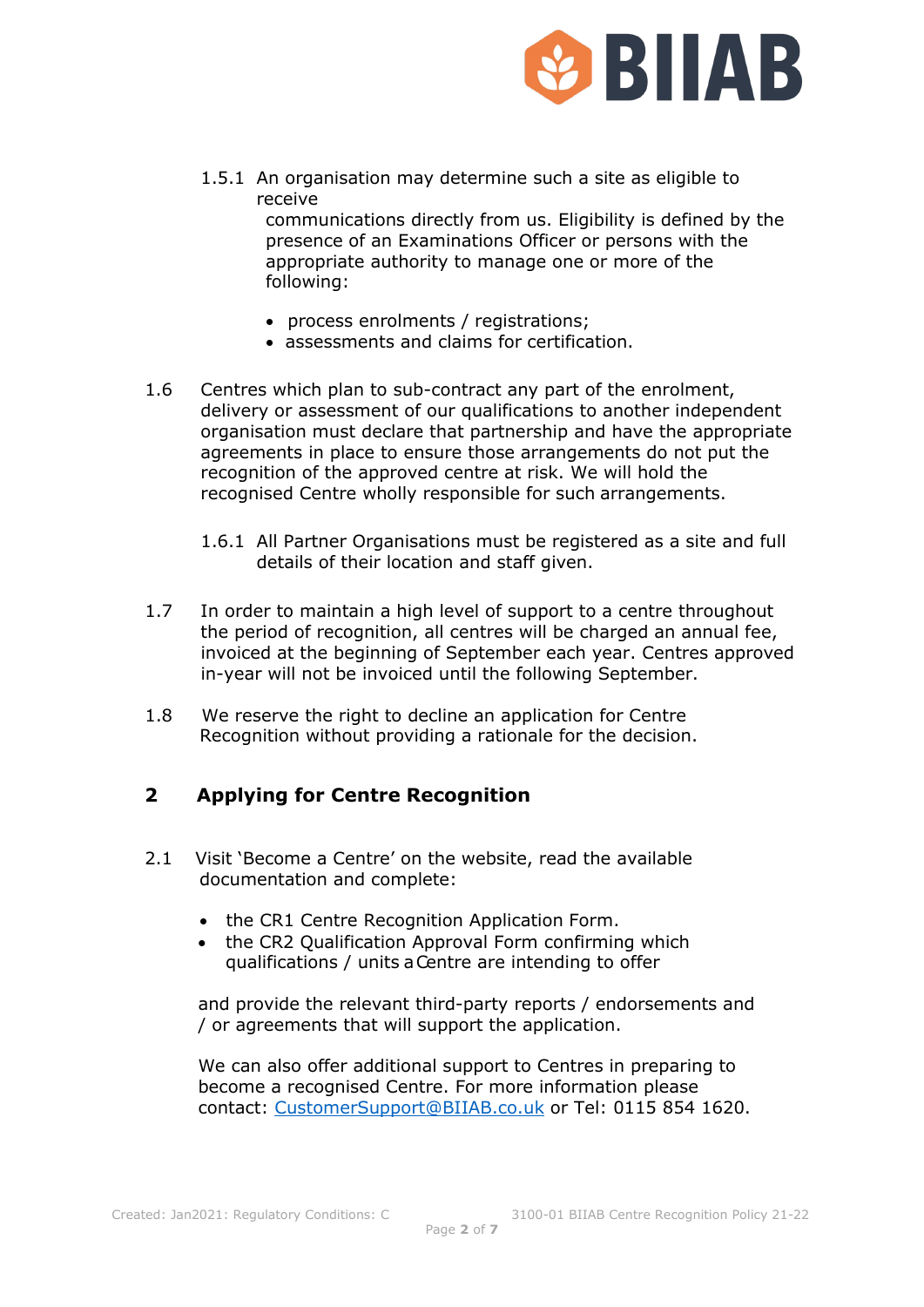

1.5.1 An organisation may determine such a site as eligible to receive communications directly from us. Eligibility is defined by the presence of an Examinations Officer or persons with the

appropriate authority to manage one or more of the following:

- process enrolments / registrations;
- assessments and claims for certification.
- 1.6 Centres which plan to sub-contract any part of the enrolment, delivery or assessment of our qualifications to another independent organisation must declare that partnership and have the appropriate agreements in place to ensure those arrangements do not put the recognition of the approved centre at risk. We will hold the recognised Centre wholly responsible for such arrangements.
	- 1.6.1 All Partner Organisations must be registered as a site and full details of their location and staff given.
- 1.7 In order to maintain a high level of support to a centre throughout the period of recognition, all centres will be charged an annual fee, invoiced at the beginning of September each year. Centres approved in-year will not be invoiced until the following September.
- 1.8 We reserve the right to decline an application for Centre Recognition without providing a rationale for the decision.

## **2 Applying for Centre Recognition**

- 2.1 Visit 'Become a Centre' on the website, read the available documentation and complete:
	- the CR1 Centre Recognition Application Form.
	- the CR2 Qualification Approval Form confirming which qualifications / units a Centre are intending to offer

and provide the relevant third-party reports / endorsements and / or agreements that will support the application.

We can also offer additional support to Centres in preparing to become a recognised Centre. For more information please contact: [CustomerSupport@BIIAB.co.uk](mailto:CustomerSupport@BIIAB.co.uk) or Tel: 0115 854 1620.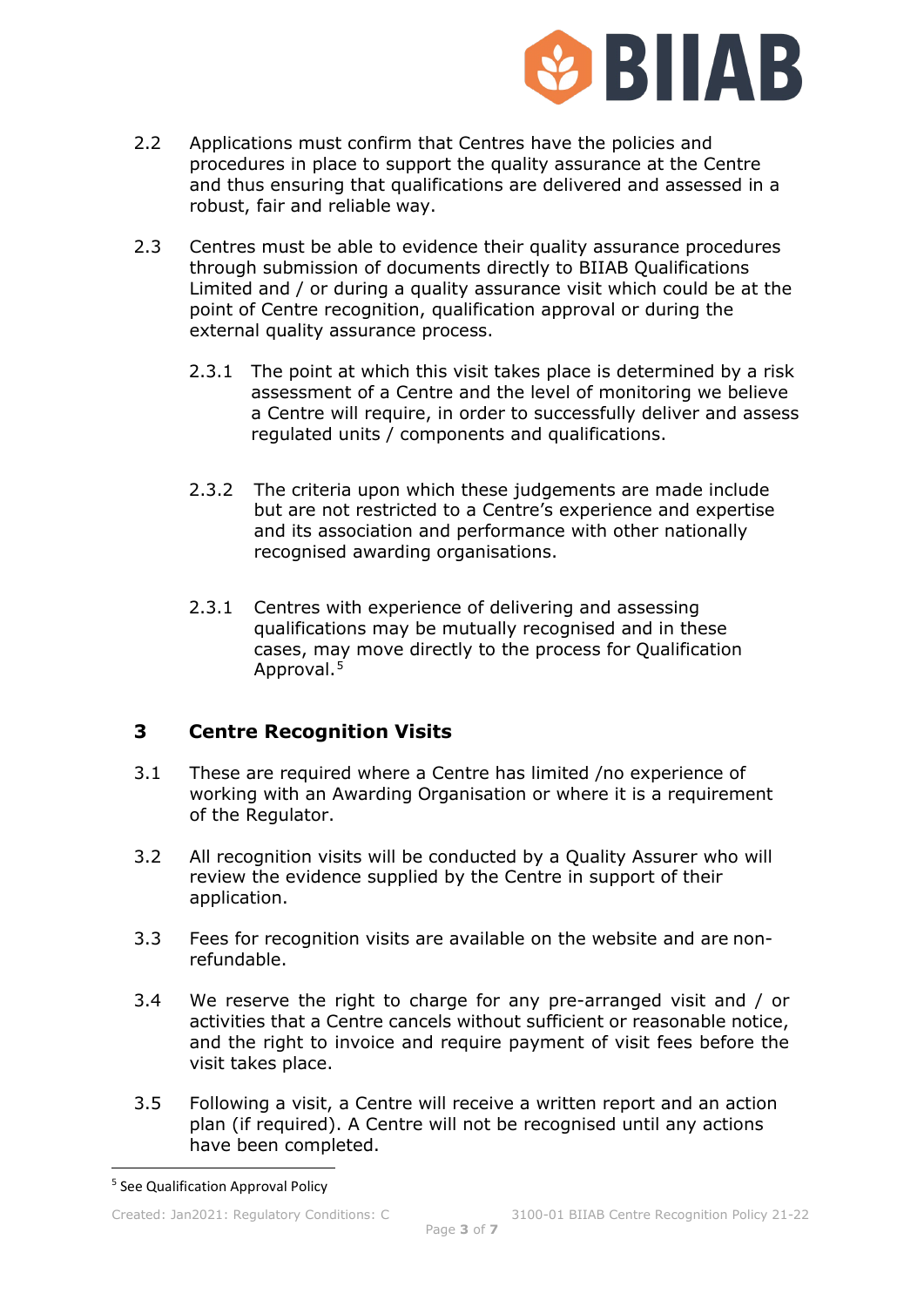

- 2.2 Applications must confirm that Centres have the policies and procedures in place to support the quality assurance at the Centre and thus ensuring that qualifications are delivered and assessed in a robust, fair and reliable way.
- 2.3 Centres must be able to evidence their quality assurance procedures through submission of documents directly to BIIAB Qualifications Limited and / or during a quality assurance visit which could be at the point of Centre recognition, qualification approval or during the external quality assurance process.
	- 2.3.1 The point at which this visit takes place is determined by a risk assessment of a Centre and the level of monitoring we believe a Centre will require, in order to successfully deliver and assess regulated units / components and qualifications.
	- 2.3.2 The criteria upon which these judgements are made include but are not restricted to a Centre's experience and expertise and its association and performance with other nationally recognised awarding organisations.
	- 2.3.1 Centres with experience of delivering and assessing qualifications may be mutually recognised and in these cases, may move directly to the process for Qualification Approval.<sup>[5](#page-2-0)</sup>

## **3 Centre Recognition Visits**

- 3.1 These are required where a Centre has limited /no experience of working with an Awarding Organisation or where it is a requirement of the Regulator.
- 3.2 All recognition visits will be conducted by a Quality Assurer who will review the evidence supplied by the Centre in support of their application.
- 3.3 Fees for recognition visits are available on the website and are nonrefundable.
- 3.4 We reserve the right to charge for any pre-arranged visit and / or activities that a Centre cancels without sufficient or reasonable notice, and the right to invoice and require payment of visit fees before the visit takes place.
- 3.5 Following a visit, a Centre will receive a written report and an action plan (if required). A Centre will not be recognised until any actions have been completed.

<span id="page-2-0"></span><sup>5</sup> See Qualification Approval Policy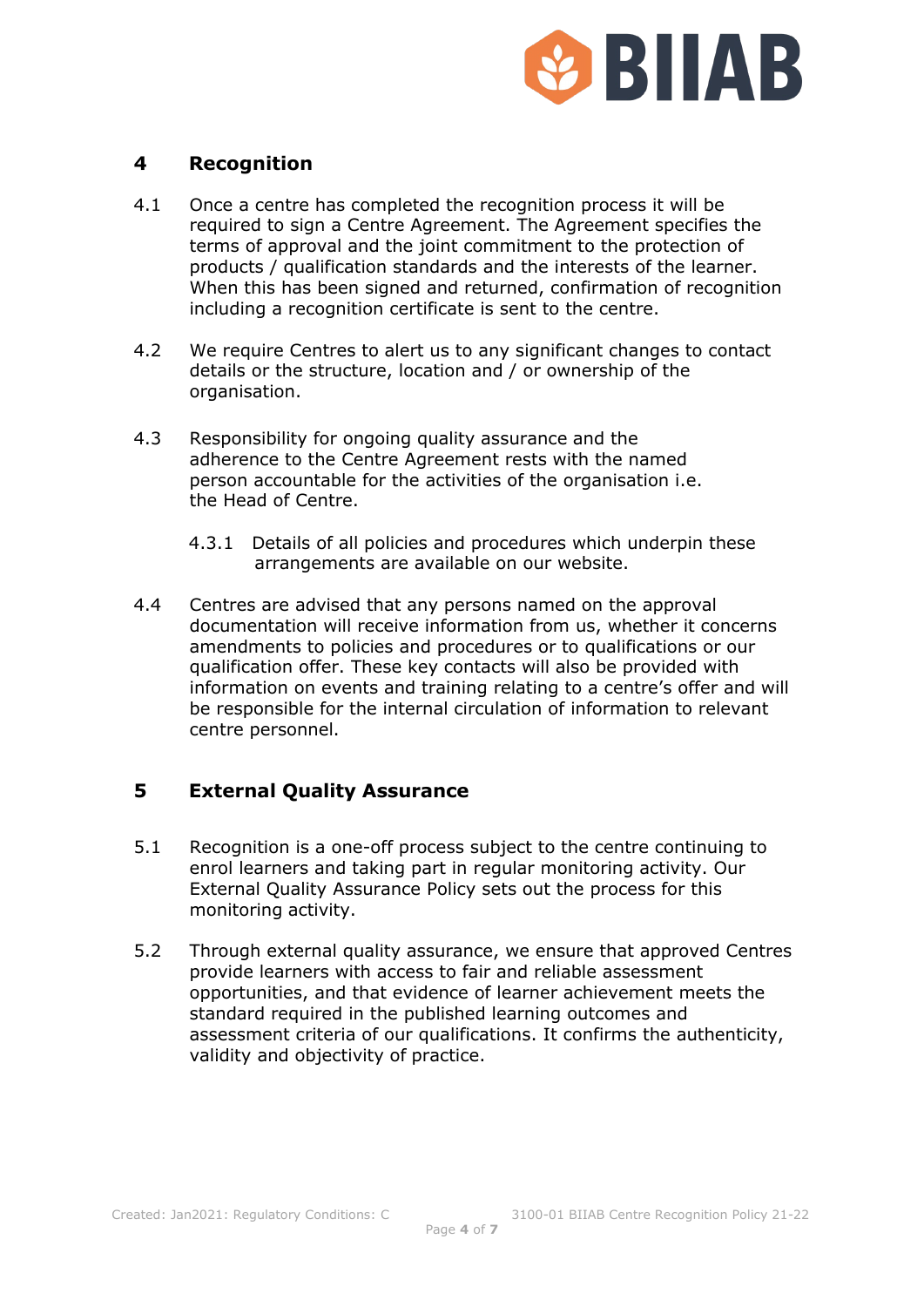

## **4 Recognition**

- 4.1 Once a centre has completed the recognition process it will be required to sign a Centre Agreement. The Agreement specifies the terms of approval and the joint commitment to the protection of products / qualification standards and the interests of the learner. When this has been signed and returned, confirmation of recognition including a recognition certificate is sent to the centre.
- 4.2 We require Centres to alert us to any significant changes to contact details or the structure, location and / or ownership of the organisation.
- 4.3 Responsibility for ongoing quality assurance and the adherence to the Centre Agreement rests with the named person accountable for the activities of the organisation i.e. the Head of Centre.
	- 4.3.1 Details of all policies and procedures which underpin these arrangements are available on our website.
- 4.4 Centres are advised that any persons named on the approval documentation will receive information from us, whether it concerns amendments to policies and procedures or to qualifications or our qualification offer. These key contacts will also be provided with information on events and training relating to a centre's offer and will be responsible for the internal circulation of information to relevant centre personnel.

#### **5 External Quality Assurance**

- 5.1 Recognition is a one-off process subject to the centre continuing to enrol learners and taking part in regular monitoring activity. Our External Quality Assurance Policy sets out the process for this monitoring activity.
- 5.2 Through external quality assurance, we ensure that approved Centres provide learners with access to fair and reliable assessment opportunities, and that evidence of learner achievement meets the standard required in the published learning outcomes and assessment criteria of our qualifications. It confirms the authenticity, validity and objectivity of practice.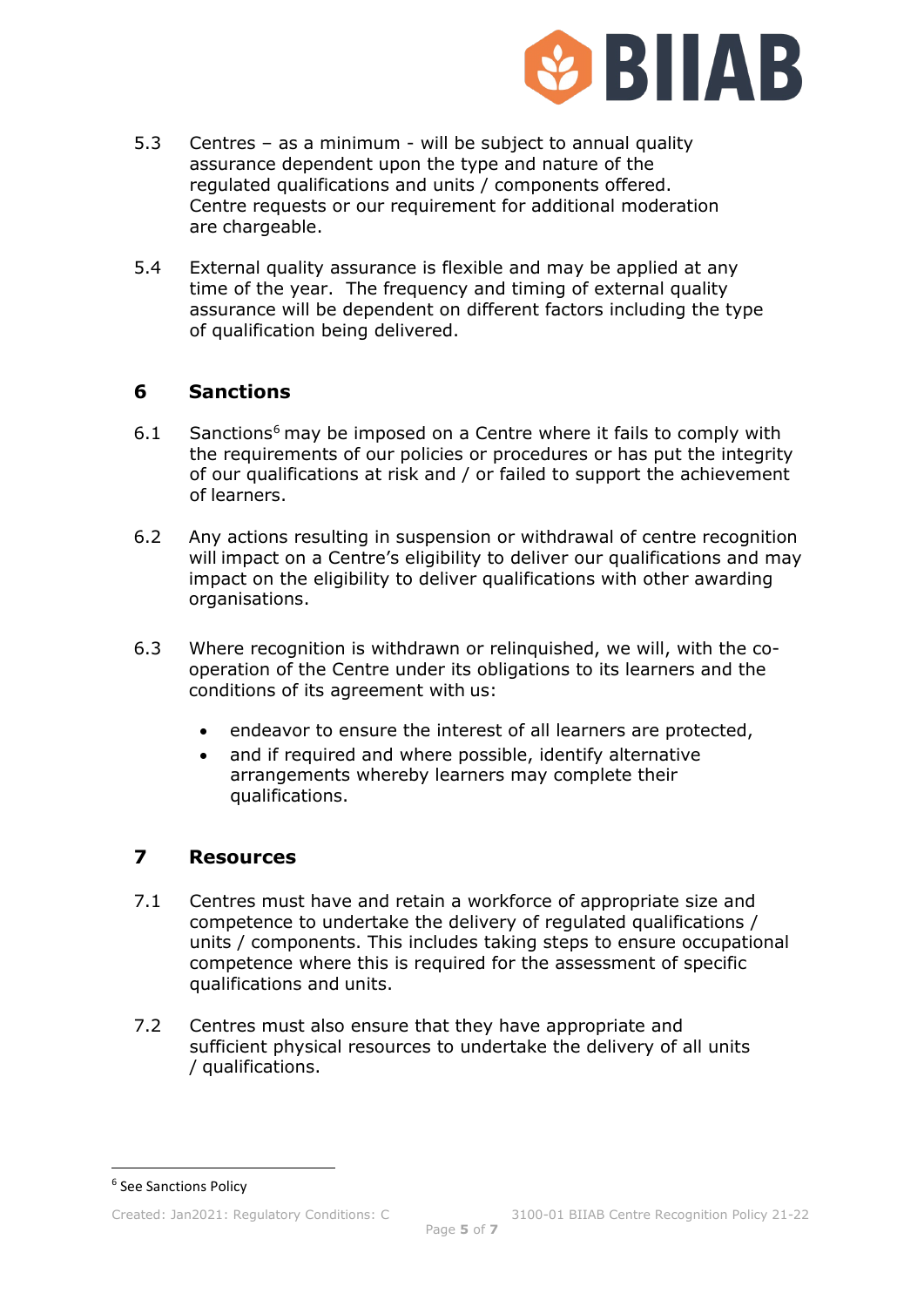

- 5.3 Centres as a minimum will be subject to annual quality assurance dependent upon the type and nature of the regulated qualifications and units / components offered. Centre requests or our requirement for additional moderation are chargeable.
- 5.4 External quality assurance is flexible and may be applied at any time of the year. The frequency and timing of external quality assurance will be dependent on different factors including the type of qualification being delivered.

#### **6 Sanctions**

- $6.1$  $6.1$  Sanctions<sup>6</sup> may be imposed on a Centre where it fails to comply with the requirements of our policies or procedures or has put the integrity of our qualifications at risk and / or failed to support the achievement of learners.
- 6.2 Any actions resulting in suspension or withdrawal of centre recognition will impact on a Centre's eligibility to deliver our qualifications and may impact on the eligibility to deliver qualifications with other awarding organisations.
- 6.3 Where recognition is withdrawn or relinquished, we will, with the cooperation of the Centre under its obligations to its learners and the conditions of its agreement with us:
	- endeavor to ensure the interest of all learners are protected,
	- and if required and where possible, identify alternative arrangements whereby learners may complete their qualifications.

#### **7 Resources**

- 7.1 Centres must have and retain a workforce of appropriate size and competence to undertake the delivery of regulated qualifications / units / components. This includes taking steps to ensure occupational competence where this is required for the assessment of specific qualifications and units.
- 7.2 Centres must also ensure that they have appropriate and sufficient physical resources to undertake the delivery of all units / qualifications.

<span id="page-4-0"></span><sup>6</sup> See Sanctions Policy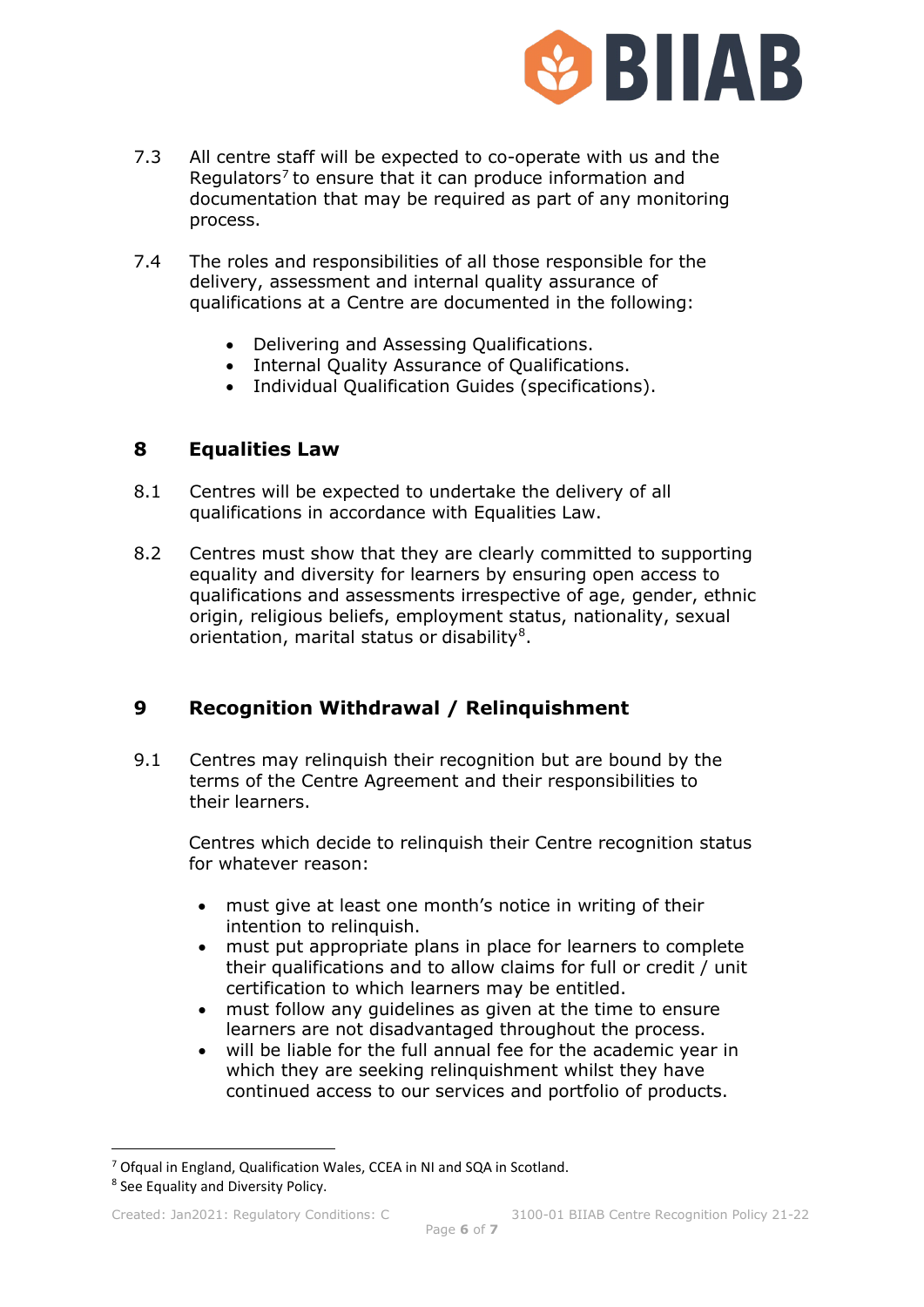

- 7.3 All centre staff will be expected to co-operate with us and the Regulators<sup>[7](#page-5-0)</sup> to ensure that it can produce information and documentation that may be required as part of any monitoring process.
- 7.4 The roles and responsibilities of all those responsible for the delivery, assessment and internal quality assurance of qualifications at a Centre are documented in the following:
	- Delivering and Assessing Qualifications.
	- Internal Quality Assurance of Qualifications.
	- Individual Qualification Guides (specifications).

#### **8 Equalities Law**

- 8.1 Centres will be expected to undertake the delivery of all qualifications in accordance with Equalities Law.
- 8.2 Centres must show that they are clearly committed to supporting equality and diversity for learners by ensuring open access to qualifications and assessments irrespective of age, gender, ethnic origin, religious beliefs, employment status, nationality, sexual orientation, marital status or disability<sup>8</sup>.

#### **9 Recognition Withdrawal / Relinquishment**

9.1 Centres may relinquish their recognition but are bound by the terms of the Centre Agreement and their responsibilities to their learners.

Centres which decide to relinquish their Centre recognition status for whatever reason:

- must give at least one month's notice in writing of their intention to relinquish.
- must put appropriate plans in place for learners to complete their qualifications and to allow claims for full or credit / unit certification to which learners may be entitled.
- must follow any guidelines as given at the time to ensure learners are not disadvantaged throughout the process.
- will be liable for the full annual fee for the academic year in which they are seeking relinquishment whilst they have continued access to our services and portfolio of products.

<span id="page-5-0"></span><sup>7</sup> Ofqual in England, Qualification Wales, CCEA in NI and SQA in Scotland.

<span id="page-5-1"></span><sup>8</sup> See Equality and Diversity Policy.